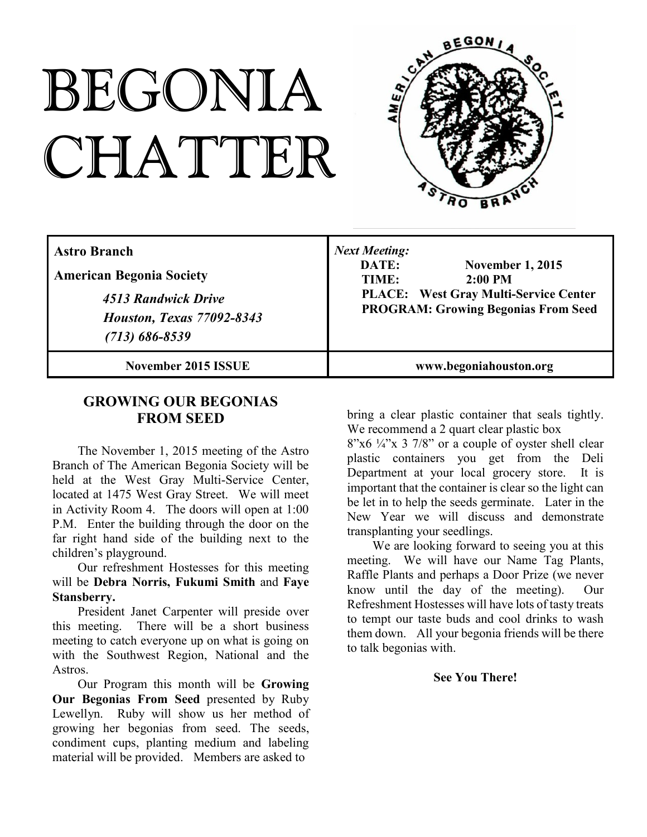# BEGONIA CHATTER



| l Astro Branch<br><b>American Begonia Society</b><br>4513 Randwick Drive<br><b>Houston, Texas 77092-8343</b><br>$(713) 686 - 8539$ | <b>Next Meeting:</b><br>DATE:<br><b>November 1, 2015</b><br>$2:00$ PM<br>TIME:<br><b>PLACE:</b> West Gray Multi-Service Center<br><b>PROGRAM: Growing Begonias From Seed</b> |
|------------------------------------------------------------------------------------------------------------------------------------|------------------------------------------------------------------------------------------------------------------------------------------------------------------------------|
| November 2015 ISSUE                                                                                                                | www.begoniahouston.org                                                                                                                                                       |

# **GROWING OUR BEGONIAS FROM SEED**

The November 1, 2015 meeting of the Astro Branch of The American Begonia Society will be held at the West Gray Multi-Service Center, located at 1475 West Gray Street. We will meet in Activity Room 4. The doors will open at 1:00 P.M. Enter the building through the door on the far right hand side of the building next to the children's playground.

Our refreshment Hostesses for this meeting will be **Debra Norris, Fukumi Smith** and **Faye Stansberry.**

President Janet Carpenter will preside over this meeting. There will be a short business meeting to catch everyone up on what is going on with the Southwest Region, National and the Astros.

Our Program this month will be **Growing Our Begonias From Seed** presented by Ruby Lewellyn. Ruby will show us her method of growing her begonias from seed. The seeds, condiment cups, planting medium and labeling material will be provided. Members are asked to

bring a clear plastic container that seals tightly. We recommend a 2 quart clear plastic box

 $8"x6'4"x 3'7/8"$  or a couple of oyster shell clear plastic containers you get from the Deli Department at your local grocery store. It is important that the container is clear so the light can be let in to help the seeds germinate. Later in the New Year we will discuss and demonstrate transplanting your seedlings.

We are looking forward to seeing you at this meeting. We will have our Name Tag Plants, Raffle Plants and perhaps a Door Prize (we never know until the day of the meeting). Our Refreshment Hostesses will have lots of tasty treats to tempt our taste buds and cool drinks to wash them down. All your begonia friends will be there to talk begonias with.

#### **See You There!**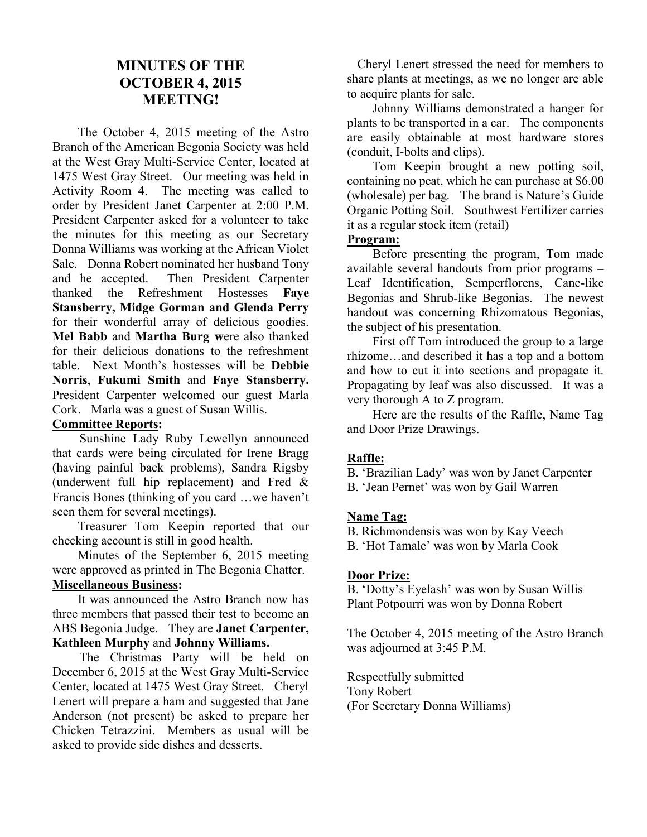# **MINUTES OF THE OCTOBER 4, 2015 MEETING!**

The October 4, 2015 meeting of the Astro Branch of the American Begonia Society was held at the West Gray Multi-Service Center, located at 1475 West Gray Street. Our meeting was held in Activity Room 4. The meeting was called to order by President Janet Carpenter at 2:00 P.M. President Carpenter asked for a volunteer to take the minutes for this meeting as our Secretary Donna Williams was working at the African Violet Sale. Donna Robert nominated her husband Tony and he accepted. Then President Carpenter thanked the Refreshment Hostesses **Faye Stansberry, Midge Gorman and Glenda Perry** for their wonderful array of delicious goodies. **Mel Babb** and **Martha Burg w**ere also thanked for their delicious donations to the refreshment table. Next Month's hostesses will be **Debbie Norris**, **Fukumi Smith** and **Faye Stansberry.** President Carpenter welcomed our guest Marla Cork. Marla was a guest of Susan Willis.

#### **Committee Reports:**

Sunshine Lady Ruby Lewellyn announced that cards were being circulated for Irene Bragg (having painful back problems), Sandra Rigsby (underwent full hip replacement) and Fred & Francis Bones (thinking of you card …we haven't seen them for several meetings).

Treasurer Tom Keepin reported that our checking account is still in good health.

Minutes of the September 6, 2015 meeting were approved as printed in The Begonia Chatter. **Miscellaneous Business:**

It was announced the Astro Branch now has three members that passed their test to become an ABS Begonia Judge. They are **Janet Carpenter, Kathleen Murphy** and **Johnny Williams.**

The Christmas Party will be held on December 6, 2015 at the West Gray Multi-Service Center, located at 1475 West Gray Street. Cheryl Lenert will prepare a ham and suggested that Jane Anderson (not present) be asked to prepare her Chicken Tetrazzini. Members as usual will be asked to provide side dishes and desserts.

Cheryl Lenert stressed the need for members to share plants at meetings, as we no longer are able to acquire plants for sale.

Johnny Williams demonstrated a hanger for plants to be transported in a car. The components are easily obtainable at most hardware stores (conduit, I-bolts and clips).

Tom Keepin brought a new potting soil, containing no peat, which he can purchase at \$6.00 (wholesale) per bag. The brand is Nature's Guide Organic Potting Soil. Southwest Fertilizer carries it as a regular stock item (retail)

#### **Program:**

Before presenting the program, Tom made available several handouts from prior programs – Leaf Identification, Semperflorens, Cane-like Begonias and Shrub-like Begonias. The newest handout was concerning Rhizomatous Begonias, the subject of his presentation.

First off Tom introduced the group to a large rhizome…and described it has a top and a bottom and how to cut it into sections and propagate it. Propagating by leaf was also discussed. It was a very thorough A to Z program.

Here are the results of the Raffle, Name Tag and Door Prize Drawings.

# **Raffle:**

B. 'Brazilian Lady' was won by Janet Carpenter

B. 'Jean Pernet' was won by Gail Warren

#### **Name Tag:**

B. Richmondensis was won by Kay Veech

B. 'Hot Tamale' was won by Marla Cook

#### **Door Prize:**

B. 'Dotty's Eyelash' was won by Susan Willis Plant Potpourri was won by Donna Robert

The October 4, 2015 meeting of the Astro Branch was adjourned at 3:45 P.M.

Respectfully submitted Tony Robert (For Secretary Donna Williams)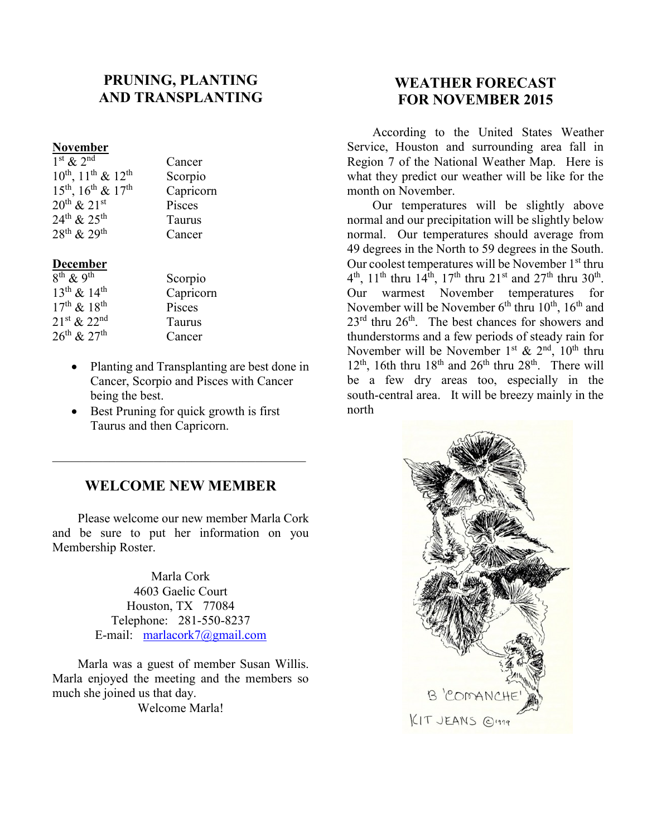# **PRUNING, PLANTING AND TRANSPLANTING**

#### **November**

| $1st$ & $2nd$                       | Cancer    |
|-------------------------------------|-----------|
| $10^{th}$ , $11^{th}$ & $12^{th}$   | Scorpio   |
| $15^{th}$ , $16^{th}$ & $17^{th}$   | Capricorn |
| $20^{th}$ & $21^{st}$               | Pisces    |
| $24^{\text{th}}$ & $25^{\text{th}}$ | Taurus    |
| $28^{th}$ & $29^{th}$               | Cancer    |

#### **December**

| $8^{th}$ & 9 <sup>th</sup> | Scorpio   |
|----------------------------|-----------|
| $13^{th}$ & $14^{th}$      | Capricorn |
| $17^{th}$ & $18^{th}$      | Pisces    |
| $21^{st} & 22^{nd}$        | Taurus    |
| $26^{th}$ & $27^{th}$      | Cancer    |

- Planting and Transplanting are best done in Cancer, Scorpio and Pisces with Cancer being the best.
- Best Pruning for quick growth is first Taurus and then Capricorn.

#### **WELCOME NEW MEMBER**

 $\overline{\mathcal{L}}$  , and the state of the state of the state of the state of the state of the state of the state of the state of the state of the state of the state of the state of the state of the state of the state of the stat

Please welcome our new member Marla Cork and be sure to put her information on you Membership Roster.

> Marla Cork 4603 Gaelic Court Houston, TX 77084 Telephone: 281-550-8237 E-mail: marlacork7@gmail.com

Marla was a guest of member Susan Willis. Marla enjoyed the meeting and the members so much she joined us that day. Welcome Marla!

# **WEATHER FORECAST FOR NOVEMBER 2015**

According to the United States Weather Service, Houston and surrounding area fall in Region 7 of the National Weather Map. Here is what they predict our weather will be like for the month on November.

Our temperatures will be slightly above normal and our precipitation will be slightly below normal. Our temperatures should average from 49 degrees in the North to 59 degrees in the South. Our coolest temperatures will be November 1<sup>st</sup> thru  $4<sup>th</sup>$ ,  $11<sup>th</sup>$  thru  $14<sup>th</sup>$ ,  $17<sup>th</sup>$  thru  $21<sup>st</sup>$  and  $27<sup>th</sup>$  thru  $30<sup>th</sup>$ . Our warmest November temperatures for November will be November  $6<sup>th</sup>$  thru  $10<sup>th</sup>$ ,  $16<sup>th</sup>$  and 23<sup>rd</sup> thru 26<sup>th</sup>. The best chances for showers and thunderstorms and a few periods of steady rain for November will be November 1<sup>st</sup> & 2<sup>nd</sup>, 10<sup>th</sup> thru  $12<sup>th</sup>$ , 16th thru  $18<sup>th</sup>$  and  $26<sup>th</sup>$  thru  $28<sup>th</sup>$ . There will be a few dry areas too, especially in the south-central area. It will be breezy mainly in the north

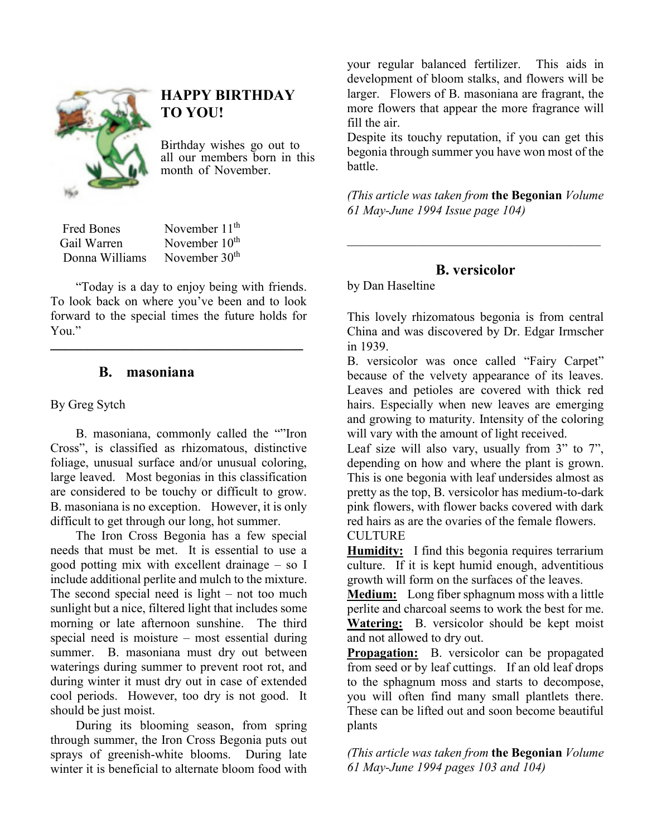

# **HAPPY BIRTHDAY TO YOU!**

Birthday wishes go out to all our members born in this month of November.

Fred Bones November 11<sup>th</sup> Gail Warren November 10<sup>th</sup><br>Donna Williams November 30<sup>th</sup> Donna Williams

"Today is a day to enjoy being with friends. To look back on where you've been and to look forward to the special times the future holds for You." **\_\_\_\_\_\_\_\_\_\_\_\_\_\_\_\_\_\_\_\_\_\_\_\_\_\_\_\_\_\_\_\_\_\_**

### **B. masoniana**

#### By Greg Sytch

B. masoniana, commonly called the ""Iron Cross", is classified as rhizomatous, distinctive foliage, unusual surface and/or unusual coloring, large leaved. Most begonias in this classification are considered to be touchy or difficult to grow. B. masoniana is no exception. However, it is only difficult to get through our long, hot summer.

The Iron Cross Begonia has a few special needs that must be met. It is essential to use a good potting mix with excellent drainage – so I include additional perlite and mulch to the mixture. The second special need is light – not too much sunlight but a nice, filtered light that includes some morning or late afternoon sunshine. The third special need is moisture – most essential during summer. B. masoniana must dry out between waterings during summer to prevent root rot, and during winter it must dry out in case of extended cool periods. However, too dry is not good. It should be just moist.

During its blooming season, from spring through summer, the Iron Cross Begonia puts out sprays of greenish-white blooms. During late winter it is beneficial to alternate bloom food with your regular balanced fertilizer. This aids in development of bloom stalks, and flowers will be larger. Flowers of B. masoniana are fragrant, the more flowers that appear the more fragrance will fill the air.

Despite its touchy reputation, if you can get this begonia through summer you have won most of the battle.

*(This article was taken from* **the Begonian** *Volume 61 May-June 1994 Issue page 104)*

# **B. versicolor**

*\_\_\_\_\_\_\_\_\_\_\_\_\_\_\_\_\_\_\_\_\_\_\_\_\_\_\_\_\_\_\_\_\_\_\_\_\_\_\_\_*

by Dan Haseltine

This lovely rhizomatous begonia is from central China and was discovered by Dr. Edgar Irmscher in 1939.

B. versicolor was once called "Fairy Carpet" because of the velvety appearance of its leaves. Leaves and petioles are covered with thick red hairs. Especially when new leaves are emerging and growing to maturity. Intensity of the coloring will vary with the amount of light received.

Leaf size will also vary, usually from 3" to 7", depending on how and where the plant is grown. This is one begonia with leaf undersides almost as pretty as the top, B. versicolor has medium-to-dark pink flowers, with flower backs covered with dark red hairs as are the ovaries of the female flowers. **CULTURE** 

**Humidity:** I find this begonia requires terrarium culture. If it is kept humid enough, adventitious growth will form on the surfaces of the leaves.

**Medium:** Long fiber sphagnum moss with a little perlite and charcoal seems to work the best for me. **Watering:** B. versicolor should be kept moist and not allowed to dry out.

**Propagation:** B. versicolor can be propagated from seed or by leaf cuttings. If an old leaf drops to the sphagnum moss and starts to decompose, you will often find many small plantlets there. These can be lifted out and soon become beautiful plants

*(This article was taken from* **the Begonian** *Volume 61 May-June 1994 pages 103 and 104)*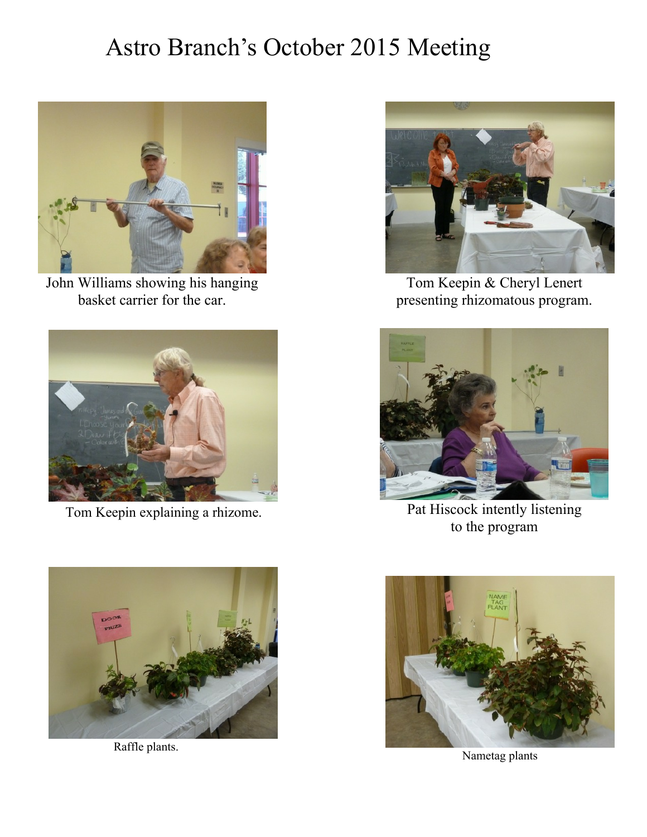# Astro Branch's October 2015 Meeting



John Williams showing his hanging basket carrier for the car.





Raffle plants.



Tom Keepin & Cheryl Lenert presenting rhizomatous program.



Tom Keepin explaining a rhizome. Pat Hiscock intently listening to the program



Nametag plants